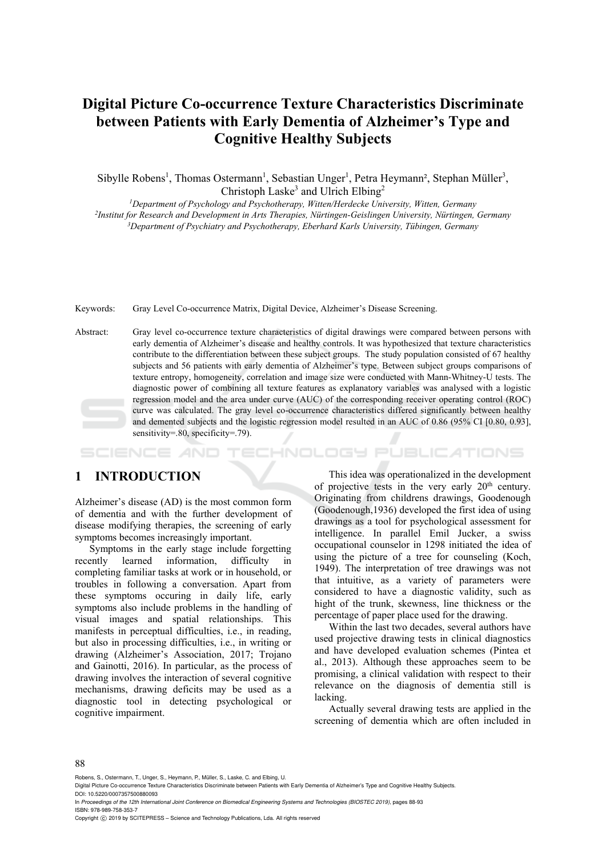## **Digital Picture Co-occurrence Texture Characteristics Discriminate between Patients with Early Dementia of Alzheimer's Type and Cognitive Healthy Subjects**

Sibylle Robens<sup>1</sup>, Thomas Ostermann<sup>1</sup>, Sebastian Unger<sup>1</sup>, Petra Heymann<sup>2</sup>, Stephan Müller<sup>3</sup>, Christoph Laske<sup>3</sup> and Ulrich Elbing<sup>2</sup>

*1Department of Psychology and Psychotherapy, Witten/Herdecke University, Witten, Germany 2Institut for Research and Development in Arts Therapies, Nürtingen-Geislingen University, Nürtingen, Germany 3 Department of Psychiatry and Psychotherapy, Eberhard Karls University, Tübingen, Germany* 

Keywords: Gray Level Co-occurrence Matrix, Digital Device, Alzheimer's Disease Screening.

Abstract: Gray level co-occurrence texture characteristics of digital drawings were compared between persons with early dementia of Alzheimer's disease and healthy controls. It was hypothesized that texture characteristics contribute to the differentiation between these subject groups. The study population consisted of 67 healthy subjects and 56 patients with early dementia of Alzheimer's type. Between subject groups comparisons of texture entropy, homogeneity, correlation and image size were conducted with Mann-Whitney-U tests. The diagnostic power of combining all texture features as explanatory variables was analysed with a logistic regression model and the area under curve (AUC) of the corresponding receiver operating control (ROC) curve was calculated. The gray level co-occurrence characteristics differed significantly between healthy and demented subjects and the logistic regression model resulted in an AUC of 0.86 (95% CI [0.80, 0.93], sensitivity=.80, specificity=.79).

#### HNOLOGY PUBLIC ATIONS

### **1 INTRODUCTION**

Alzheimer's disease (AD) is the most common form of dementia and with the further development of disease modifying therapies, the screening of early symptoms becomes increasingly important.

Symptoms in the early stage include forgetting recently learned information, difficulty in completing familiar tasks at work or in household, or troubles in following a conversation. Apart from these symptoms occuring in daily life, early symptoms also include problems in the handling of visual images and spatial relationships. This manifests in perceptual difficulties, i.e., in reading, but also in processing difficulties, i.e., in writing or drawing (Alzheimer's Association, 2017; Trojano and Gainotti, 2016). In particular, as the process of drawing involves the interaction of several cognitive mechanisms, drawing deficits may be used as a diagnostic tool in detecting psychological or cognitive impairment.

This idea was operationalized in the development of projective tests in the very early  $20<sup>th</sup>$  century. Originating from childrens drawings, Goodenough (Goodenough,1936) developed the first idea of using drawings as a tool for psychological assessment for intelligence. In parallel Emil Jucker, a swiss occupational counselor in 1298 initiated the idea of using the picture of a tree for counseling (Koch, 1949). The interpretation of tree drawings was not that intuitive, as a variety of parameters were considered to have a diagnostic validity, such as hight of the trunk, skewness, line thickness or the percentage of paper place used for the drawing.

Within the last two decades, several authors have used projective drawing tests in clinical diagnostics and have developed evaluation schemes (Pintea et al., 2013). Although these approaches seem to be promising, a clinical validation with respect to their relevance on the diagnosis of dementia still is lacking.

Actually several drawing tests are applied in the screening of dementia which are often included in

#### 88

Robens, S., Ostermann, T., Unger, S., Heymann, P., Müller, S., Laske, C. and Elbing, U.

In *Proceedings of the 12th International Joint Conference on Biomedical Engineering Systems and Technologies (BIOSTEC 2019)*, pages 88-93 ISBN: 978-989-758-353-7

Copyright  $\odot$  2019 by SCITEPRESS - Science and Technology Publications, Lda. All rights reserved

Digital Picture Co-occurrence Texture Characteristics Discriminate between Patients with Early Dementia of Alzheimer's Type and Cognitive Healthy Subjects. DOI: 10.5220/0007357500880093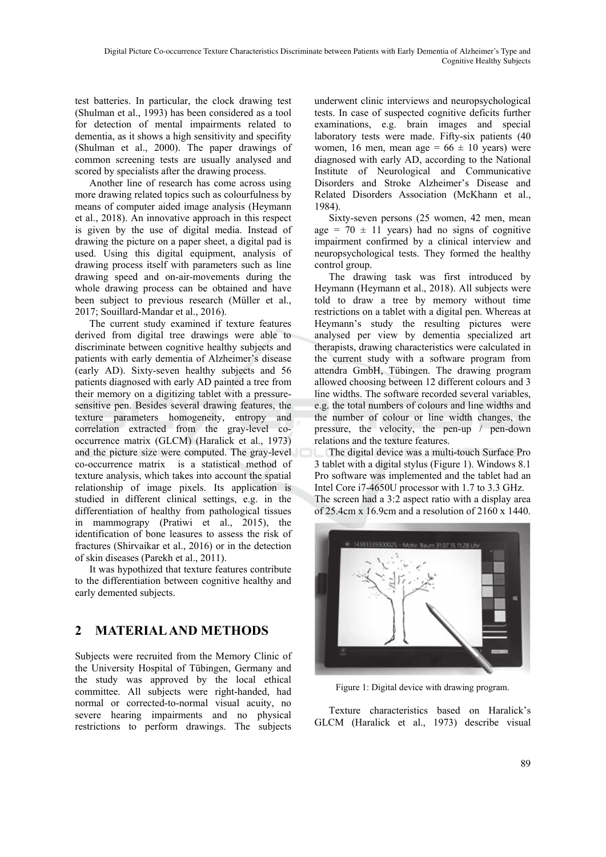test batteries. In particular, the clock drawing test (Shulman et al., 1993) has been considered as a tool for detection of mental impairments related to dementia, as it shows a high sensitivity and specifity (Shulman et al., 2000). The paper drawings of common screening tests are usually analysed and scored by specialists after the drawing process.

Another line of research has come across using more drawing related topics such as colourfulness by means of computer aided image analysis (Heymann et al., 2018). An innovative approach in this respect is given by the use of digital media. Instead of drawing the picture on a paper sheet, a digital pad is used. Using this digital equipment, analysis of drawing process itself with parameters such as line drawing speed and on-air-movements during the whole drawing process can be obtained and have been subject to previous research (Müller et al., 2017; Souillard-Mandar et al., 2016).

The current study examined if texture features derived from digital tree drawings were able to discriminate between cognitive healthy subjects and patients with early dementia of Alzheimer's disease (early AD). Sixty-seven healthy subjects and 56 patients diagnosed with early AD painted a tree from their memory on a digitizing tablet with a pressuresensitive pen. Besides several drawing features, the texture parameters homogeneity, entropy and correlation extracted from the gray-level cooccurrence matrix (GLCM) (Haralick et al., 1973) and the picture size were computed. The gray-level co-occurrence matrix is a statistical method of texture analysis, which takes into account the spatial relationship of image pixels. Its application is studied in different clinical settings, e.g. in the differentiation of healthy from pathological tissues in mammograpy (Pratiwi et al., 2015), the identification of bone leasures to assess the risk of fractures (Shirvaikar et al., 2016) or in the detection of skin diseases (Parekh et al., 2011).

It was hypothized that texture features contribute to the differentiation between cognitive healthy and early demented subjects.

## **2 MATERIAL AND METHODS**

Subjects were recruited from the Memory Clinic of the University Hospital of Tübingen, Germany and the study was approved by the local ethical committee. All subjects were right-handed, had normal or corrected-to-normal visual acuity, no severe hearing impairments and no physical restrictions to perform drawings. The subjects

underwent clinic interviews and neuropsychological tests. In case of suspected cognitive deficits further examinations, e.g. brain images and special laboratory tests were made. Fifty-six patients (40 women, 16 men, mean age =  $66 \pm 10$  years) were diagnosed with early AD, according to the National Institute of Neurological and Communicative Disorders and Stroke Alzheimer's Disease and Related Disorders Association (McKhann et al., 1984).

Sixty-seven persons (25 women, 42 men, mean age =  $70 \pm 11$  years) had no signs of cognitive impairment confirmed by a clinical interview and neuropsychological tests. They formed the healthy control group.

The drawing task was first introduced by Heymann (Heymann et al., 2018). All subjects were told to draw a tree by memory without time restrictions on a tablet with a digital pen. Whereas at Heymann's study the resulting pictures were analysed per view by dementia specialized art therapists, drawing characteristics were calculated in the current study with a software program from attendra GmbH, Tübingen. The drawing program allowed choosing between 12 different colours and 3 line widths. The software recorded several variables, e.g. the total numbers of colours and line widths and the number of colour or line width changes, the pressure, the velocity, the pen-up / pen-down relations and the texture features.

The digital device was a multi-touch Surface Pro 3 tablet with a digital stylus (Figure 1). Windows 8.1 Pro software was implemented and the tablet had an Intel Core i7-4650U processor with 1.7 to 3.3 GHz. The screen had a 3:2 aspect ratio with a display area of 25.4cm x 16.9cm and a resolution of 2160 x 1440.



Figure 1: Digital device with drawing program.

Texture characteristics based on Haralick's GLCM (Haralick et al., 1973) describe visual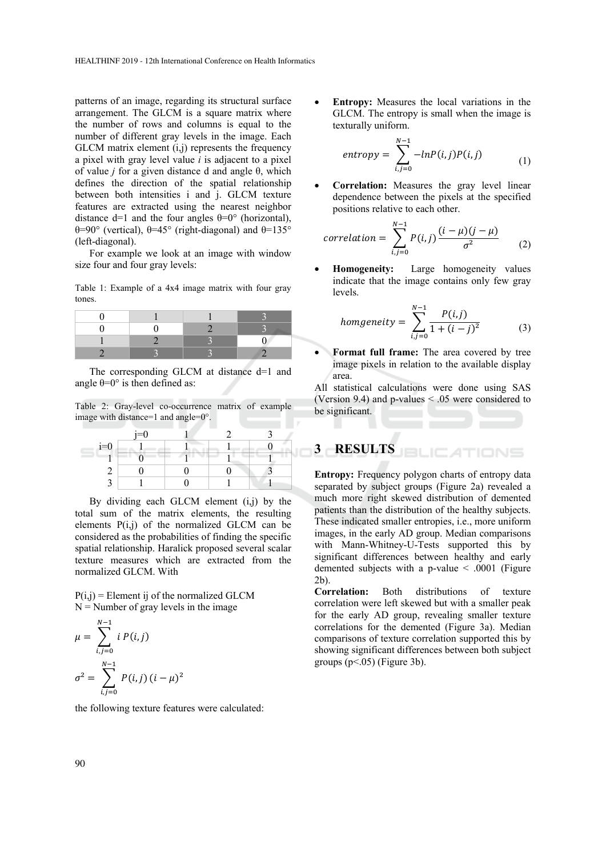patterns of an image, regarding its structural surface arrangement. The GLCM is a square matrix where the number of rows and columns is equal to the number of different gray levels in the image. Each  $GLCM$  matrix element  $(i,j)$  represents the frequency a pixel with gray level value *i* is adjacent to a pixel of value *j* for a given distance d and angle θ, which defines the direction of the spatial relationship between both intensities i and j. GLCM texture features are extracted using the nearest neighbor distance d=1 and the four angles  $\theta$ =0° (horizontal), θ=90° (vertical), θ=45° (right-diagonal) and θ=135° (left-diagonal).

For example we look at an image with window size four and four gray levels:

Table 1: Example of a 4x4 image matrix with four gray tones.

The corresponding GLCM at distance d=1 and angle  $\theta = 0^\circ$  is then defined as:

Table 2: Gray-level co-occurrence matrix of example image with distance=1 and angle=0°.

|       | $i=0$ |  |   |
|-------|-------|--|---|
| $i=0$ |       |  |   |
|       |       |  | ۰ |
|       |       |  |   |
|       |       |  |   |

By dividing each GLCM element (i,j) by the total sum of the matrix elements, the resulting elements P(i,j) of the normalized GLCM can be considered as the probabilities of finding the specific spatial relationship. Haralick proposed several scalar texture measures which are extracted from the normalized GLCM. With

 $P(i,j)$  = Element ij of the normalized GLCM  $N =$  Number of gray levels in the image

$$
\mu = \sum_{i,j=0}^{N-1} i P(i,j)
$$

$$
\sigma^2 = \sum_{i,j=0}^{N-1} P(i,j) (i - \mu)^2
$$

the following texture features were calculated:

 **Entropy:** Measures the local variations in the GLCM. The entropy is small when the image is texturally uniform.

$$
entropy = \sum_{i,j=0}^{N-1} -lnP(i,j)P(i,j)
$$
 (1)

 **Correlation:** Measures the gray level linear dependence between the pixels at the specified positions relative to each other.

$$
correlation = \sum_{i,j=0}^{N-1} P(i,j) \frac{(i-\mu)(j-\mu)}{\sigma^2}
$$
 (2)

 **Homogeneity:** Large homogeneity values indicate that the image contains only few gray levels.

homogeneity = 
$$
\sum_{i,j=0}^{N-1} \frac{P(i,j)}{1 + (i-j)^2}
$$
 (3)

 **Format full frame:** The area covered by tree image pixels in relation to the available display area.

All statistical calculations were done using SAS (Version 9.4) and p-values < .05 were considered to be significant.

# **3 RESULTS**

**Entropy:** Frequency polygon charts of entropy data separated by subject groups (Figure 2a) revealed a much more right skewed distribution of demented patients than the distribution of the healthy subjects. These indicated smaller entropies, i.e., more uniform images, in the early AD group. Median comparisons with Mann-Whitney-U-Tests supported this by significant differences between healthy and early demented subjects with a p-value < .0001 (Figure 2b).

**Correlation:** Both distributions of texture correlation were left skewed but with a smaller peak for the early AD group, revealing smaller texture correlations for the demented (Figure 3a). Median comparisons of texture correlation supported this by showing significant differences between both subject groups  $(p<.05)$  (Figure 3b).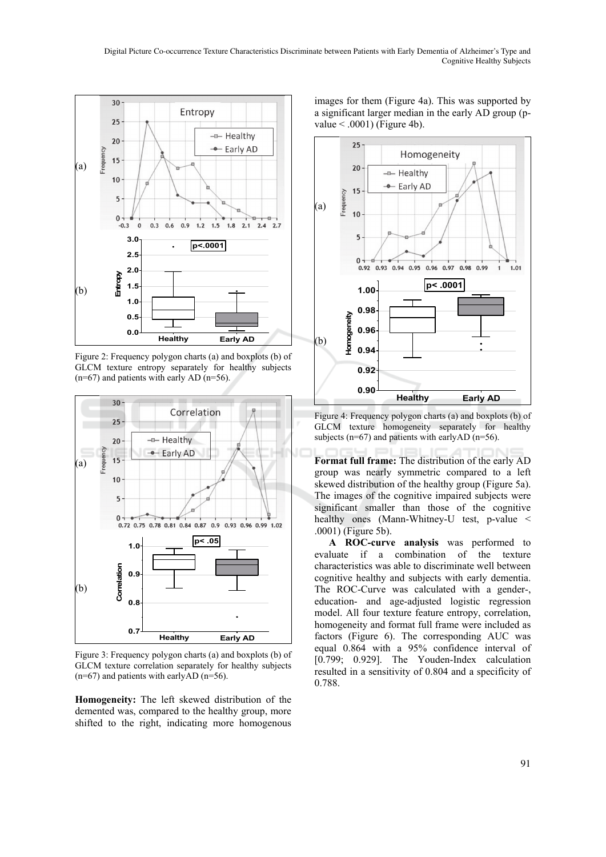

Figure 2: Frequency polygon charts (a) and boxplots (b) of GLCM texture entropy separately for healthy subjects  $(n=67)$  and patients with early AD  $(n=56)$ .



Figure 3: Frequency polygon charts (a) and boxplots (b) of GLCM texture correlation separately for healthy subjects  $(n=67)$  and patients with earlyAD  $(n=56)$ .

**Homogeneity:** The left skewed distribution of the demented was, compared to the healthy group, more shifted to the right, indicating more homogenous

images for them (Figure 4a). This was supported by a significant larger median in the early AD group (pvalue  $< .0001$ ) (Figure 4b).



Figure 4: Frequency polygon charts (a) and boxplots (b) of GLCM texture homogeneity separately for healthy subjects ( $n=67$ ) and patients with earlyAD ( $n=56$ ).

**Format full frame:** The distribution of the early AD group was nearly symmetric compared to a left skewed distribution of the healthy group (Figure 5a). The images of the cognitive impaired subjects were significant smaller than those of the cognitive healthy ones (Mann-Whitney-U test, p-value < .0001) (Figure 5b).

**A ROC-curve analysis** was performed to evaluate if a combination of the texture characteristics was able to discriminate well between cognitive healthy and subjects with early dementia. The ROC-Curve was calculated with a gender-, education- and age-adjusted logistic regression model. All four texture feature entropy, correlation, homogeneity and format full frame were included as factors (Figure 6). The corresponding AUC was equal 0.864 with a 95% confidence interval of [0.799; 0.929]. The Youden-Index calculation resulted in a sensitivity of 0.804 and a specificity of 0.788.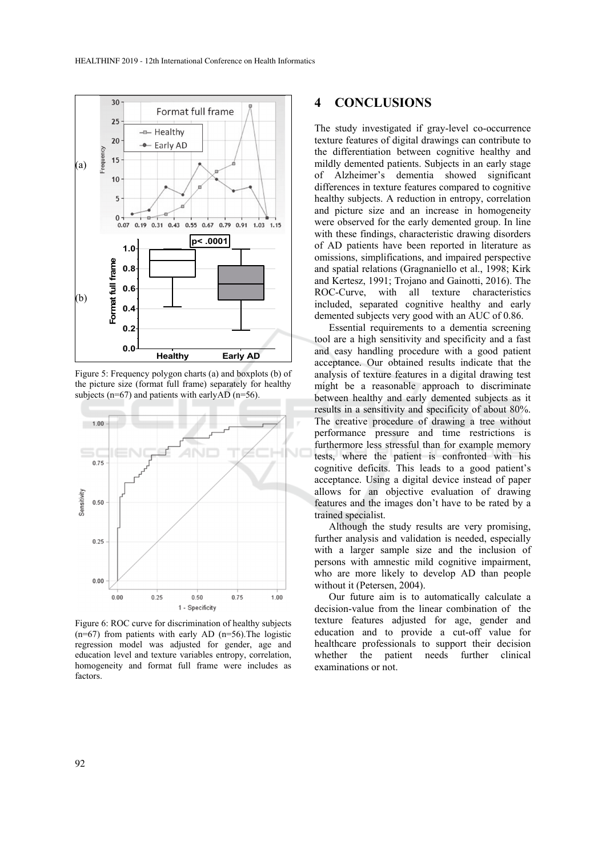

Figure 5: Frequency polygon charts (a) and boxplots (b) of the picture size (format full frame) separately for healthy subjects ( $n=67$ ) and patients with earlyAD ( $n=56$ ).



Figure 6: ROC curve for discrimination of healthy subjects  $(n=67)$  from patients with early AD  $(n=56)$ . The logistic regression model was adjusted for gender, age and education level and texture variables entropy, correlation, homogeneity and format full frame were includes as factors.

### **4 CONCLUSIONS**

The study investigated if gray-level co-occurrence texture features of digital drawings can contribute to the differentiation between cognitive healthy and mildly demented patients. Subjects in an early stage of Alzheimer's dementia showed significant differences in texture features compared to cognitive healthy subjects. A reduction in entropy, correlation and picture size and an increase in homogeneity were observed for the early demented group. In line with these findings, characteristic drawing disorders of AD patients have been reported in literature as omissions, simplifications, and impaired perspective and spatial relations (Gragnaniello et al., 1998; Kirk and Kertesz, 1991; Trojano and Gainotti, 2016). The ROC-Curve, with all texture characteristics included, separated cognitive healthy and early demented subjects very good with an AUC of 0.86.

Essential requirements to a dementia screening tool are a high sensitivity and specificity and a fast and easy handling procedure with a good patient acceptance. Our obtained results indicate that the analysis of texture features in a digital drawing test might be a reasonable approach to discriminate between healthy and early demented subjects as it results in a sensitivity and specificity of about 80%. The creative procedure of drawing a tree without performance pressure and time restrictions is furthermore less stressful than for example memory tests, where the patient is confronted with his cognitive deficits. This leads to a good patient's acceptance. Using a digital device instead of paper allows for an objective evaluation of drawing features and the images don't have to be rated by a trained specialist.

Although the study results are very promising, further analysis and validation is needed, especially with a larger sample size and the inclusion of persons with amnestic mild cognitive impairment, who are more likely to develop AD than people without it (Petersen, 2004).

Our future aim is to automatically calculate a decision-value from the linear combination of the texture features adjusted for age, gender and education and to provide a cut-off value for healthcare professionals to support their decision whether the patient needs further clinical examinations or not.